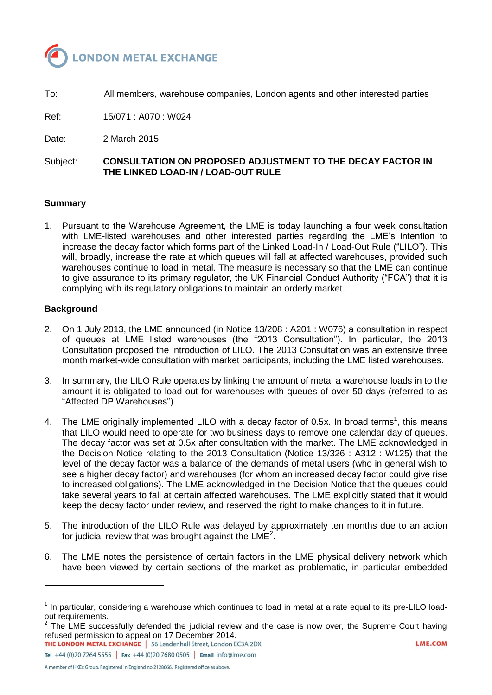

To: All members, warehouse companies, London agents and other interested parties

Ref: 15/071 : A070 : W024

Date: 2 March 2015

Subject: **CONSULTATION ON PROPOSED ADJUSTMENT TO THE DECAY FACTOR IN THE LINKED LOAD-IN / LOAD-OUT RULE**

## **Summary**

1. Pursuant to the Warehouse Agreement, the LME is today launching a four week consultation with LME-listed warehouses and other interested parties regarding the LME's intention to increase the decay factor which forms part of the Linked Load-In / Load-Out Rule ("LILO"). This will, broadly, increase the rate at which queues will fall at affected warehouses, provided such warehouses continue to load in metal. The measure is necessary so that the LME can continue to give assurance to its primary regulator, the UK Financial Conduct Authority ("FCA") that it is complying with its regulatory obligations to maintain an orderly market.

### **Background**

l

- 2. On 1 July 2013, the LME announced (in Notice 13/208 : A201 : W076) a consultation in respect of queues at LME listed warehouses (the "2013 Consultation"). In particular, the 2013 Consultation proposed the introduction of LILO. The 2013 Consultation was an extensive three month market-wide consultation with market participants, including the LME listed warehouses.
- 3. In summary, the LILO Rule operates by linking the amount of metal a warehouse loads in to the amount it is obligated to load out for warehouses with queues of over 50 days (referred to as "Affected DP Warehouses").
- 4. The LME originally implemented LILO with a decay factor of 0.5x. In broad terms<sup>1</sup>, this means that LILO would need to operate for two business days to remove one calendar day of queues. The decay factor was set at 0.5x after consultation with the market. The LME acknowledged in the Decision Notice relating to the 2013 Consultation (Notice 13/326 : A312 : W125) that the level of the decay factor was a balance of the demands of metal users (who in general wish to see a higher decay factor) and warehouses (for whom an increased decay factor could give rise to increased obligations). The LME acknowledged in the Decision Notice that the queues could take several years to fall at certain affected warehouses. The LME explicitly stated that it would keep the decay factor under review, and reserved the right to make changes to it in future.
- 5. The introduction of the LILO Rule was delayed by approximately ten months due to an action for judicial review that was brought against the LME<sup>2</sup>.
- 6. The LME notes the persistence of certain factors in the LME physical delivery network which have been viewed by certain sections of the market as problematic, in particular embedded

The LME successfully defended the judicial review and the case is now over, the Supreme Court having refused permission to appeal on 17 December 2014.

**THE LONDON METAL EXCHANGE** | 56 Leadenhall Street, London EC3A 2DX Tel +44 (0)20 7264 5555 | Fax +44 (0)20 7680 0505 | Email info@lme.com

A member of HKEx Group. Registered in England no 2128666. Registered office as above.

 $1$  In particular, considering a warehouse which continues to load in metal at a rate equal to its pre-LILO loadout requirements.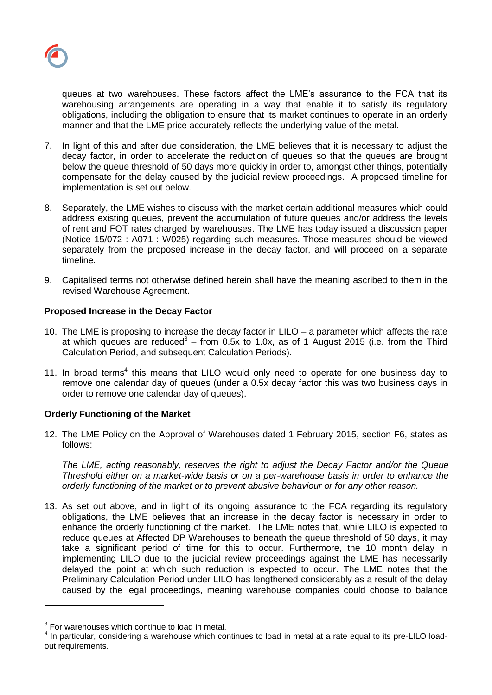queues at two warehouses. These factors affect the LME's assurance to the FCA that its warehousing arrangements are operating in a way that enable it to satisfy its regulatory obligations, including the obligation to ensure that its market continues to operate in an orderly manner and that the LME price accurately reflects the underlying value of the metal.

- 7. In light of this and after due consideration, the LME believes that it is necessary to adjust the decay factor, in order to accelerate the reduction of queues so that the queues are brought below the queue threshold of 50 days more quickly in order to, amongst other things, potentially compensate for the delay caused by the judicial review proceedings. A proposed timeline for implementation is set out below.
- 8. Separately, the LME wishes to discuss with the market certain additional measures which could address existing queues, prevent the accumulation of future queues and/or address the levels of rent and FOT rates charged by warehouses. The LME has today issued a discussion paper (Notice 15/072 : A071 : W025) regarding such measures. Those measures should be viewed separately from the proposed increase in the decay factor, and will proceed on a separate timeline.
- 9. Capitalised terms not otherwise defined herein shall have the meaning ascribed to them in the revised Warehouse Agreement.

## **Proposed Increase in the Decay Factor**

- 10. The LME is proposing to increase the decay factor in LILO a parameter which affects the rate at which queues are reduced<sup>3</sup> – from 0.5x to 1.0x, as of 1 August 2015 (i.e. from the Third Calculation Period, and subsequent Calculation Periods).
- 11. In broad terms<sup>4</sup> this means that LILO would only need to operate for one business day to remove one calendar day of queues (under a 0.5x decay factor this was two business days in order to remove one calendar day of queues).

# **Orderly Functioning of the Market**

12. The LME Policy on the Approval of Warehouses dated 1 February 2015, section F6, states as follows:

*The LME, acting reasonably, reserves the right to adjust the Decay Factor and/or the Queue Threshold either on a market-wide basis or on a per-warehouse basis in order to enhance the orderly functioning of the market or to prevent abusive behaviour or for any other reason.*

13. As set out above, and in light of its ongoing assurance to the FCA regarding its regulatory obligations, the LME believes that an increase in the decay factor is necessary in order to enhance the orderly functioning of the market. The LME notes that, while LILO is expected to reduce queues at Affected DP Warehouses to beneath the queue threshold of 50 days, it may take a significant period of time for this to occur. Furthermore, the 10 month delay in implementing LILO due to the judicial review proceedings against the LME has necessarily delayed the point at which such reduction is expected to occur. The LME notes that the Preliminary Calculation Period under LILO has lengthened considerably as a result of the delay caused by the legal proceedings, meaning warehouse companies could choose to balance

 $3$  For warehouses which continue to load in metal.

 $<sup>4</sup>$  In particular, considering a warehouse which continues to load in metal at a rate equal to its pre-LILO load-</sup> out requirements.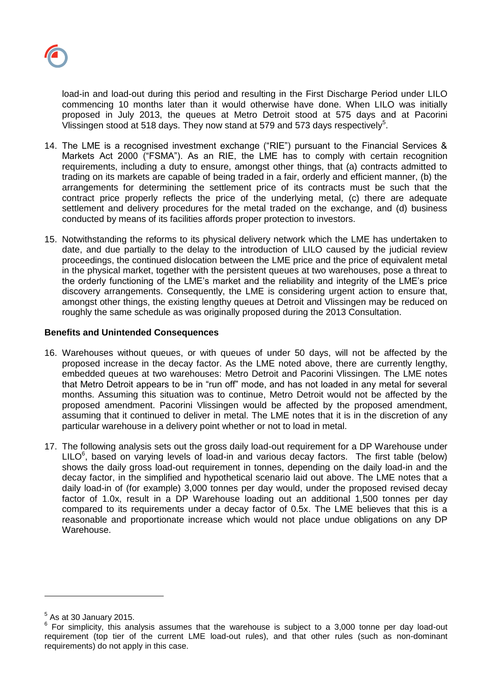load-in and load-out during this period and resulting in the First Discharge Period under LILO commencing 10 months later than it would otherwise have done. When LILO was initially proposed in July 2013, the queues at Metro Detroit stood at 575 days and at Pacorini Vlissingen stood at 518 days. They now stand at 579 and 573 days respectively<sup>5</sup>.

- 14. The LME is a recognised investment exchange ("RIE") pursuant to the Financial Services & Markets Act 2000 ("FSMA"). As an RIE, the LME has to comply with certain recognition requirements, including a duty to ensure, amongst other things, that (a) contracts admitted to trading on its markets are capable of being traded in a fair, orderly and efficient manner, (b) the arrangements for determining the settlement price of its contracts must be such that the contract price properly reflects the price of the underlying metal, (c) there are adequate settlement and delivery procedures for the metal traded on the exchange, and (d) business conducted by means of its facilities affords proper protection to investors.
- 15. Notwithstanding the reforms to its physical delivery network which the LME has undertaken to date, and due partially to the delay to the introduction of LILO caused by the judicial review proceedings, the continued dislocation between the LME price and the price of equivalent metal in the physical market, together with the persistent queues at two warehouses, pose a threat to the orderly functioning of the LME's market and the reliability and integrity of the LME's price discovery arrangements. Consequently, the LME is considering urgent action to ensure that, amongst other things, the existing lengthy queues at Detroit and Vlissingen may be reduced on roughly the same schedule as was originally proposed during the 2013 Consultation.

# **Benefits and Unintended Consequences**

- 16. Warehouses without queues, or with queues of under 50 days, will not be affected by the proposed increase in the decay factor. As the LME noted above, there are currently lengthy, embedded queues at two warehouses: Metro Detroit and Pacorini Vlissingen. The LME notes that Metro Detroit appears to be in "run off" mode, and has not loaded in any metal for several months. Assuming this situation was to continue, Metro Detroit would not be affected by the proposed amendment. Pacorini Vlissingen would be affected by the proposed amendment, assuming that it continued to deliver in metal. The LME notes that it is in the discretion of any particular warehouse in a delivery point whether or not to load in metal.
- 17. The following analysis sets out the gross daily load-out requirement for a DP Warehouse under  $LILO<sup>6</sup>$ , based on varying levels of load-in and various decay factors. The first table (below) shows the daily gross load-out requirement in tonnes, depending on the daily load-in and the decay factor, in the simplified and hypothetical scenario laid out above. The LME notes that a daily load-in of (for example) 3,000 tonnes per day would, under the proposed revised decay factor of 1.0x, result in a DP Warehouse loading out an additional 1,500 tonnes per day compared to its requirements under a decay factor of 0.5x. The LME believes that this is a reasonable and proportionate increase which would not place undue obligations on any DP Warehouse.

 $<sup>5</sup>$  As at 30 January 2015.</sup>

<sup>&</sup>lt;sup>6</sup> For simplicity, this analysis assumes that the warehouse is subject to a 3,000 tonne per day load-out requirement (top tier of the current LME load-out rules), and that other rules (such as non-dominant requirements) do not apply in this case.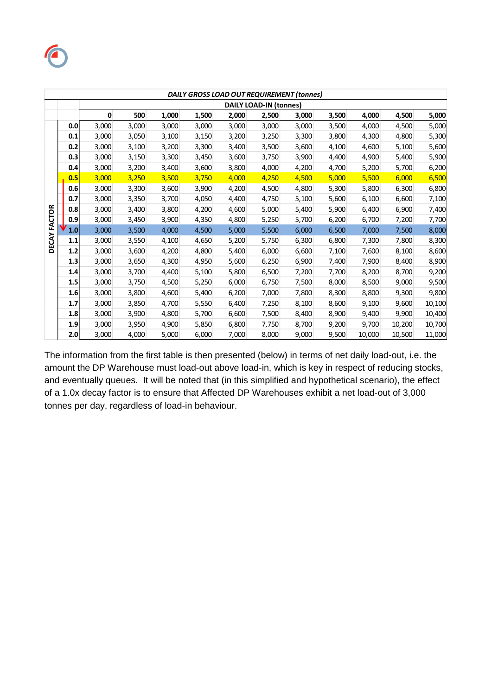

| DAILY GROSS LOAD OUT REQUIREMENT (tonnes) |     |                               |       |       |       |       |       |       |       |        |        |        |
|-------------------------------------------|-----|-------------------------------|-------|-------|-------|-------|-------|-------|-------|--------|--------|--------|
|                                           |     | <b>DAILY LOAD-IN (tonnes)</b> |       |       |       |       |       |       |       |        |        |        |
|                                           |     | 0                             | 500   | 1,000 | 1,500 | 2,000 | 2,500 | 3,000 | 3,500 | 4,000  | 4,500  | 5,000  |
|                                           | 0.0 | 3,000                         | 3,000 | 3,000 | 3,000 | 3,000 | 3,000 | 3,000 | 3,500 | 4,000  | 4,500  | 5,000  |
|                                           | 0.1 | 3,000                         | 3,050 | 3,100 | 3,150 | 3,200 | 3,250 | 3,300 | 3,800 | 4,300  | 4,800  | 5,300  |
|                                           | 0.2 | 3,000                         | 3,100 | 3,200 | 3,300 | 3,400 | 3,500 | 3,600 | 4,100 | 4,600  | 5,100  | 5,600  |
|                                           | 0.3 | 3,000                         | 3,150 | 3,300 | 3,450 | 3,600 | 3,750 | 3,900 | 4,400 | 4,900  | 5,400  | 5,900  |
|                                           | 0.4 | 3,000                         | 3,200 | 3,400 | 3,600 | 3,800 | 4,000 | 4,200 | 4,700 | 5,200  | 5,700  | 6,200  |
|                                           | 0.5 | 3,000                         | 3,250 | 3,500 | 3,750 | 4,000 | 4,250 | 4,500 | 5,000 | 5,500  | 6,000  | 6,500  |
| DECAY FACTOR                              | 0.6 | 3,000                         | 3,300 | 3,600 | 3,900 | 4,200 | 4,500 | 4,800 | 5,300 | 5,800  | 6,300  | 6,800  |
|                                           | 0.7 | 3,000                         | 3,350 | 3,700 | 4,050 | 4,400 | 4,750 | 5,100 | 5,600 | 6,100  | 6,600  | 7,100  |
|                                           | 0.8 | 3,000                         | 3,400 | 3,800 | 4,200 | 4,600 | 5,000 | 5,400 | 5,900 | 6,400  | 6,900  | 7,400  |
|                                           | 0.9 | 3,000                         | 3,450 | 3,900 | 4,350 | 4,800 | 5,250 | 5,700 | 6,200 | 6,700  | 7,200  | 7,700  |
|                                           | 1.0 | 3,000                         | 3,500 | 4,000 | 4,500 | 5,000 | 5,500 | 6,000 | 6,500 | 7,000  | 7,500  | 8,000  |
|                                           | 1.1 | 3,000                         | 3,550 | 4,100 | 4,650 | 5,200 | 5,750 | 6,300 | 6,800 | 7,300  | 7,800  | 8,300  |
|                                           | 1.2 | 3,000                         | 3,600 | 4,200 | 4,800 | 5,400 | 6,000 | 6,600 | 7,100 | 7,600  | 8,100  | 8,600  |
|                                           | 1.3 | 3,000                         | 3,650 | 4,300 | 4,950 | 5,600 | 6,250 | 6,900 | 7,400 | 7,900  | 8,400  | 8,900  |
|                                           | 1.4 | 3,000                         | 3,700 | 4,400 | 5,100 | 5,800 | 6,500 | 7,200 | 7,700 | 8,200  | 8,700  | 9,200  |
|                                           | 1.5 | 3,000                         | 3,750 | 4,500 | 5,250 | 6,000 | 6,750 | 7,500 | 8,000 | 8,500  | 9,000  | 9,500  |
|                                           | 1.6 | 3,000                         | 3,800 | 4,600 | 5,400 | 6,200 | 7,000 | 7,800 | 8,300 | 8,800  | 9,300  | 9,800  |
|                                           | 1.7 | 3,000                         | 3,850 | 4,700 | 5,550 | 6,400 | 7,250 | 8,100 | 8,600 | 9,100  | 9,600  | 10,100 |
|                                           | 1.8 | 3,000                         | 3,900 | 4,800 | 5,700 | 6,600 | 7,500 | 8,400 | 8,900 | 9,400  | 9,900  | 10,400 |
|                                           | 1.9 | 3,000                         | 3,950 | 4,900 | 5,850 | 6,800 | 7,750 | 8,700 | 9,200 | 9,700  | 10,200 | 10,700 |
|                                           | 2.0 | 3,000                         | 4,000 | 5,000 | 6,000 | 7,000 | 8,000 | 9,000 | 9,500 | 10,000 | 10,500 | 11,000 |

The information from the first table is then presented (below) in terms of net daily load-out, i.e. the amount the DP Warehouse must load-out above load-in, which is key in respect of reducing stocks, and eventually queues. It will be noted that (in this simplified and hypothetical scenario), the effect of a 1.0x decay factor is to ensure that Affected DP Warehouses exhibit a net load-out of 3,000 tonnes per day, regardless of load-in behaviour.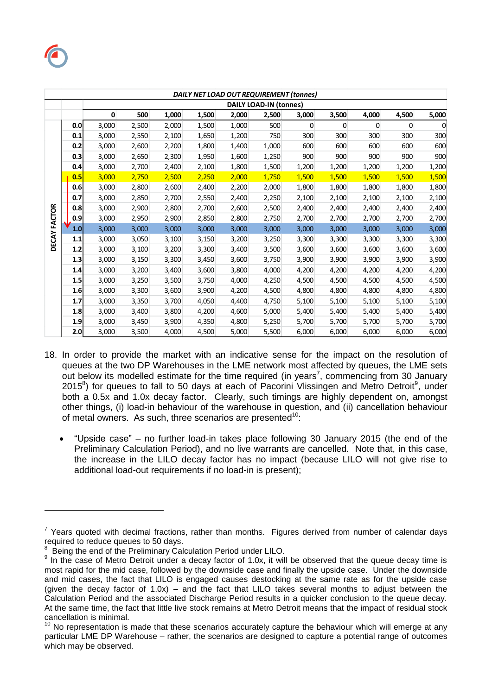

|               | DAILY NET LOAD OUT REQUIREMENT (tonnes) |                               |       |       |       |       |       |       |       |       |       |             |
|---------------|-----------------------------------------|-------------------------------|-------|-------|-------|-------|-------|-------|-------|-------|-------|-------------|
|               |                                         | <b>DAILY LOAD-IN (tonnes)</b> |       |       |       |       |       |       |       |       |       |             |
|               |                                         | $\mathbf 0$                   | 500   | 1,000 | 1,500 | 2,000 | 2,500 | 3,000 | 3,500 | 4,000 | 4,500 | 5,000       |
|               | 0.0                                     | 3,000                         | 2,500 | 2,000 | 1,500 | 1,000 | 500   | 0     | 0     | 0     | 0     | $\mathbf 0$ |
|               | 0.1                                     | 3,000                         | 2,550 | 2,100 | 1,650 | 1,200 | 750   | 300   | 300   | 300   | 300   | 300         |
|               | 0.2                                     | 3,000                         | 2,600 | 2,200 | 1,800 | 1,400 | 1,000 | 600   | 600   | 600   | 600   | 600         |
|               | 0.3                                     | 3,000                         | 2,650 | 2,300 | 1,950 | 1,600 | 1,250 | 900   | 900   | 900   | 900   | 900         |
|               | 0.4                                     | 3,000                         | 2,700 | 2,400 | 2,100 | 1,800 | 1,500 | 1,200 | 1,200 | 1,200 | 1,200 | 1,200       |
|               | 0.5                                     | 3,000                         | 2,750 | 2,500 | 2,250 | 2,000 | 1,750 | 1,500 | 1,500 | 1,500 | 1,500 | 1,500       |
|               | 0.6                                     | 3,000                         | 2,800 | 2,600 | 2,400 | 2,200 | 2,000 | 1,800 | 1,800 | 1,800 | 1,800 | 1,800       |
|               | 0.7                                     | 3,000                         | 2,850 | 2,700 | 2,550 | 2,400 | 2,250 | 2,100 | 2,100 | 2,100 | 2,100 | 2,100       |
|               | 0.8                                     | 3,000                         | 2,900 | 2,800 | 2,700 | 2,600 | 2,500 | 2,400 | 2,400 | 2,400 | 2,400 | 2,400       |
| <b>FACTOR</b> | 0.9                                     | 3,000                         | 2,950 | 2,900 | 2,850 | 2,800 | 2,750 | 2,700 | 2,700 | 2,700 | 2,700 | 2,700       |
|               | 1.0                                     | 3,000                         | 3,000 | 3,000 | 3,000 | 3,000 | 3,000 | 3,000 | 3,000 | 3,000 | 3,000 | 3,000       |
| <b>DECAY</b>  | 1.1                                     | 3,000                         | 3,050 | 3,100 | 3,150 | 3,200 | 3,250 | 3,300 | 3,300 | 3,300 | 3,300 | 3,300       |
|               | 1.2                                     | 3,000                         | 3,100 | 3,200 | 3,300 | 3,400 | 3,500 | 3,600 | 3,600 | 3,600 | 3,600 | 3,600       |
|               | 1.3                                     | 3,000                         | 3,150 | 3,300 | 3,450 | 3,600 | 3,750 | 3,900 | 3,900 | 3,900 | 3,900 | 3,900       |
|               | 1.4                                     | 3,000                         | 3,200 | 3,400 | 3,600 | 3,800 | 4,000 | 4,200 | 4,200 | 4,200 | 4,200 | 4,200       |
|               | 1.5                                     | 3,000                         | 3,250 | 3,500 | 3,750 | 4,000 | 4,250 | 4,500 | 4,500 | 4,500 | 4,500 | 4,500       |
|               | 1.6                                     | 3,000                         | 3,300 | 3,600 | 3,900 | 4,200 | 4,500 | 4,800 | 4,800 | 4,800 | 4,800 | 4,800       |
|               | 1.7                                     | 3,000                         | 3,350 | 3,700 | 4,050 | 4,400 | 4,750 | 5,100 | 5,100 | 5,100 | 5,100 | 5,100       |
|               | 1.8                                     | 3,000                         | 3,400 | 3,800 | 4,200 | 4,600 | 5,000 | 5,400 | 5,400 | 5,400 | 5,400 | 5,400       |
|               | 1.9                                     | 3,000                         | 3,450 | 3,900 | 4,350 | 4,800 | 5,250 | 5,700 | 5,700 | 5,700 | 5,700 | 5,700       |
|               | 2.0                                     | 3,000                         | 3,500 | 4.000 | 4,500 | 5,000 | 5,500 | 6,000 | 6,000 | 6,000 | 6,000 | 6,000       |

- 18. In order to provide the market with an indicative sense for the impact on the resolution of queues at the two DP Warehouses in the LME network most affected by queues, the LME sets out below its modelled estimate for the time required (in years<sup>7</sup>, commencing from 30 January 2015 ${}^{8}$ ) for queues to fall to 50 days at each of Pacorini Vlissingen and Metro Detroit ${}^{9}$ , under both a 0.5x and 1.0x decay factor. Clearly, such timings are highly dependent on, amongst other things, (i) load-in behaviour of the warehouse in question, and (ii) cancellation behaviour of metal owners. As such, three scenarios are presented $10$ :
	- "Upside case" no further load-in takes place following 30 January 2015 (the end of the Preliminary Calculation Period), and no live warrants are cancelled. Note that, in this case, the increase in the LILO decay factor has no impact (because LILO will not give rise to additional load-out requirements if no load-in is present);

 $7$  Years quoted with decimal fractions, rather than months. Figures derived from number of calendar days required to reduce queues to 50 days.<br><sup>8</sup> Being the and of the Preliminary Cal

Being the end of the Preliminary Calculation Period under LILO.

<sup>&</sup>lt;sup>9</sup> In the case of Metro Detroit under a decay factor of 1.0x, it will be observed that the queue decay time is most rapid for the mid case, followed by the downside case and finally the upside case. Under the downside and mid cases, the fact that LILO is engaged causes destocking at the same rate as for the upside case (given the decay factor of 1.0x) – and the fact that LILO takes several months to adjust between the Calculation Period and the associated Discharge Period results in a quicker conclusion to the queue decay. At the same time, the fact that little live stock remains at Metro Detroit means that the impact of residual stock cancellation is minimal.

No representation is made that these scenarios accurately capture the behaviour which will emerge at any particular LME DP Warehouse – rather, the scenarios are designed to capture a potential range of outcomes which may be observed.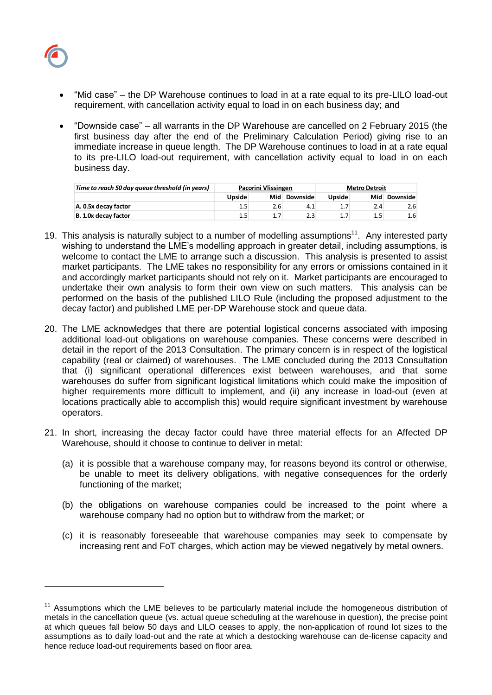

- "Mid case" the DP Warehouse continues to load in at a rate equal to its pre-LILO load-out requirement, with cancellation activity equal to load in on each business day; and
- "Downside case" all warrants in the DP Warehouse are cancelled on 2 February 2015 (the first business day after the end of the Preliminary Calculation Period) giving rise to an immediate increase in queue length. The DP Warehouse continues to load in at a rate equal to its pre-LILO load-out requirement, with cancellation activity equal to load in on each business day.

| Time to reach 50 day queue threshold (in years) |         | Pacorini Vlissingen |                 | <b>Metro Detroit</b> |         |                 |  |
|-------------------------------------------------|---------|---------------------|-----------------|----------------------|---------|-----------------|--|
|                                                 | Upside  | Mid                 | <b>Downside</b> | <b>Upside</b>        | Mid     | <b>Downside</b> |  |
| A. 0.5x decay factor                            | $1.5\,$ | 2.6                 | 4.1             |                      | 2.4     | 2.6             |  |
| B. 1.0x decay factor                            | $1.5\,$ |                     | 2.3             | 1.7                  | $1.5\,$ | 1.6             |  |

- 19. This analysis is naturally subject to a number of modelling assumptions<sup>11</sup>. Any interested party wishing to understand the LME's modelling approach in greater detail, including assumptions, is welcome to contact the LME to arrange such a discussion. This analysis is presented to assist market participants. The LME takes no responsibility for any errors or omissions contained in it and accordingly market participants should not rely on it. Market participants are encouraged to undertake their own analysis to form their own view on such matters. This analysis can be performed on the basis of the published LILO Rule (including the proposed adjustment to the decay factor) and published LME per-DP Warehouse stock and queue data.
- 20. The LME acknowledges that there are potential logistical concerns associated with imposing additional load-out obligations on warehouse companies. These concerns were described in detail in the report of the 2013 Consultation. The primary concern is in respect of the logistical capability (real or claimed) of warehouses. The LME concluded during the 2013 Consultation that (i) significant operational differences exist between warehouses, and that some warehouses do suffer from significant logistical limitations which could make the imposition of higher requirements more difficult to implement, and (ii) any increase in load-out (even at locations practically able to accomplish this) would require significant investment by warehouse operators. France reach 50 day queue threshold (in years)<br> **A. 0.5s decay factor**<br>
15.5<br> **A. 15.6 decay factor**<br>
Wishing to understand the LME's modelling app<br>
welcome to contact the LME to arrange such a<br>
market participants. The LM
- 21. In short, increasing the decay factor could have three material effects for an Affected DP Warehouse, should it choose to continue to deliver in metal:
	- (a) it is possible that a warehouse company may, for reasons beyond its control or otherwise, be unable to meet its delivery obligations, with negative consequences for the orderly functioning of the market;
	- (b) the obligations on warehouse companies could be increased to the point where a warehouse company had no option but to withdraw from the market; or
	- (c) it is reasonably foreseeable that warehouse companies may seek to compensate by increasing rent and FoT charges, which action may be viewed negatively by metal owners.

<sup>&</sup>lt;sup>11</sup> Assumptions which the LME believes to be particularly material include the homogeneous distribution of metals in the cancellation queue (vs. actual queue scheduling at the warehouse in question), the precise point at which queues fall below 50 days and LILO ceases to apply, the non-application of round lot sizes to the assumptions as to daily load-out and the rate at which a destocking warehouse can de-license capacity and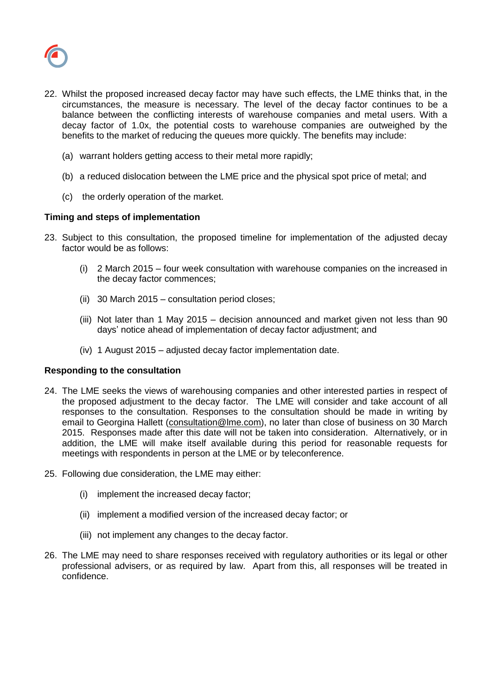

- 22. Whilst the proposed increased decay factor may have such effects, the LME thinks that, in the circumstances, the measure is necessary. The level of the decay factor continues to be a balance between the conflicting interests of warehouse companies and metal users. With a decay factor of 1.0x, the potential costs to warehouse companies are outweighed by the benefits to the market of reducing the queues more quickly. The benefits may include:
	- (a) warrant holders getting access to their metal more rapidly;
	- (b) a reduced dislocation between the LME price and the physical spot price of metal; and
	- (c) the orderly operation of the market.

## **Timing and steps of implementation**

- 23. Subject to this consultation, the proposed timeline for implementation of the adjusted decay factor would be as follows:
	- (i) 2 March 2015 four week consultation with warehouse companies on the increased in the decay factor commences;
	- (ii) 30 March 2015 consultation period closes;
	- (iii) Not later than 1 May 2015 decision announced and market given not less than 90 days' notice ahead of implementation of decay factor adjustment; and
	- (iv) 1 August 2015 adjusted decay factor implementation date.

### **Responding to the consultation**

- 24. The LME seeks the views of warehousing companies and other interested parties in respect of the proposed adjustment to the decay factor. The LME will consider and take account of all responses to the consultation. Responses to the consultation should be made in writing by email to Georgina Hallett [\(consultation@lme.com\)](mailto:consultation@lme.com), no later than close of business on 30 March 2015. Responses made after this date will not be taken into consideration. Alternatively, or in addition, the LME will make itself available during this period for reasonable requests for meetings with respondents in person at the LME or by teleconference.
- 25. Following due consideration, the LME may either:
	- (i) implement the increased decay factor;
	- (ii) implement a modified version of the increased decay factor; or
	- (iii) not implement any changes to the decay factor.
- 26. The LME may need to share responses received with regulatory authorities or its legal or other professional advisers, or as required by law. Apart from this, all responses will be treated in confidence.